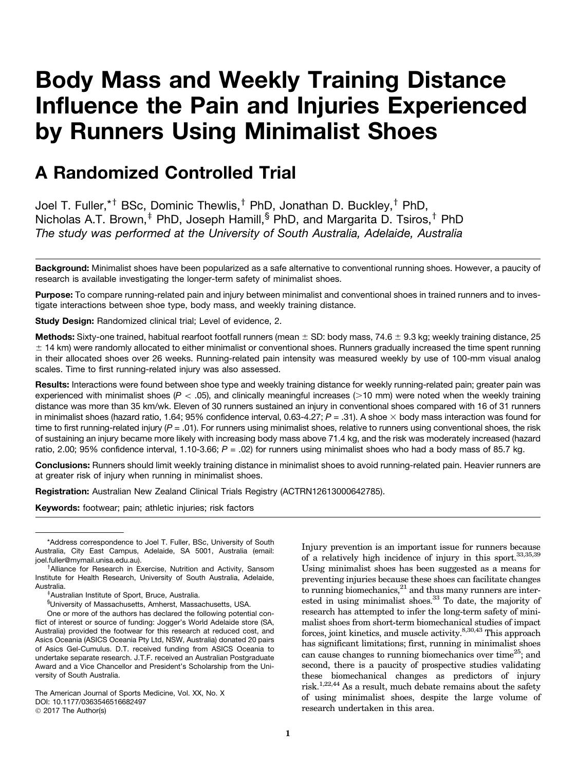# Body Mass and Weekly Training Distance Influence the Pain and Injuries Experienced by Runners Using Minimalist Shoes

# A Randomized Controlled Trial

Joel T. Fuller,  $*$ † BSc, Dominic Thewlis, $^{\dagger}$  PhD, Jonathan D. Buckley, $^{\dagger}$  PhD, Nicholas A.T. Brown,<sup> $\ddagger$ </sup> PhD, Joseph Hamill,<sup>§</sup> PhD, and Margarita D. Tsiros, $\ddagger$  PhD *The study was performed at the University of South Australia, Adelaide, Australia*

Background: Minimalist shoes have been popularized as a safe alternative to conventional running shoes. However, a paucity of research is available investigating the longer-term safety of minimalist shoes.

Purpose: To compare running-related pain and injury between minimalist and conventional shoes in trained runners and to investigate interactions between shoe type, body mass, and weekly training distance.

Study Design: Randomized clinical trial; Level of evidence, 2.

Methods: Sixty-one trained, habitual rearfoot footfall runners (mean  $\pm$  SD: body mass, 74.6  $\pm$  9.3 kg; weekly training distance, 25  $\pm$  14 km) were randomly allocated to either minimalist or conventional shoes. Runners gradually increased the time spent running in their allocated shoes over 26 weeks. Running-related pain intensity was measured weekly by use of 100-mm visual analog scales. Time to first running-related injury was also assessed.

Results: Interactions were found between shoe type and weekly training distance for weekly running-related pain; greater pain was experienced with minimalist shoes ( $P < .05$ ), and clinically meaningful increases ( $>10$  mm) were noted when the weekly training distance was more than 35 km/wk. Eleven of 30 runners sustained an injury in conventional shoes compared with 16 of 31 runners in minimalist shoes (hazard ratio, 1.64; 95% confidence interval, 0.63-4.27; *P* = .31). A shoe  $\times$  body mass interaction was found for time to first running-related injury ( $P = .01$ ). For runners using minimalist shoes, relative to runners using conventional shoes, the risk of sustaining an injury became more likely with increasing body mass above 71.4 kg, and the risk was moderately increased (hazard ratio, 2.00; 95% confidence interval, 1.10-3.66; *P* = .02) for runners using minimalist shoes who had a body mass of 85.7 kg.

Conclusions: Runners should limit weekly training distance in minimalist shoes to avoid running-related pain. Heavier runners are at greater risk of injury when running in minimalist shoes.

Registration: Australian New Zealand Clinical Trials Registry (ACTRN12613000642785).

Keywords: footwear; pain; athletic injuries; risk factors

Injury prevention is an important issue for runners because of a relatively high incidence of injury in this sport.  $33,35,39$ Using minimalist shoes has been suggested as a means for preventing injuries because these shoes can facilitate changes to running biomechanics, $21$  and thus many runners are interested in using minimalist shoes.<sup>33</sup> To date, the majority of research has attempted to infer the long-term safety of minimalist shoes from short-term biomechanical studies of impact forces, joint kinetics, and muscle activity.<sup>8,30,43</sup> This approach has significant limitations; first, running in minimalist shoes can cause changes to running biomechanics over time<sup>25</sup>; and second, there is a paucity of prospective studies validating these biomechanical changes as predictors of injury risk.<sup>1,22,44</sup> As a result, much debate remains about the safety of using minimalist shoes, despite the large volume of research undertaken in this area.

<sup>\*</sup>Address correspondence to Joel T. Fuller, BSc, University of South Australia, City East Campus, Adelaide, SA 5001, Australia (email: joel.fuller@mymail.unisa.edu.au).

<sup>&</sup>lt;sup>†</sup> Alliance for Research in Exercise, Nutrition and Activity, Sansom Institute for Health Research, University of South Australia, Adelaide, Australia.

Australian Institute of Sport, Bruce, Australia.

<sup>§</sup> University of Massachusetts, Amherst, Massachusetts, USA.

One or more of the authors has declared the following potential conflict of interest or source of funding: Jogger's World Adelaide store (SA, Australia) provided the footwear for this research at reduced cost, and Asics Oceania (ASICS Oceania Pty Ltd, NSW, Australia) donated 20 pairs of Asics Gel-Cumulus. D.T. received funding from ASICS Oceania to undertake separate research. J.T.F. received an Australian Postgraduate Award and a Vice Chancellor and President's Scholarship from the University of South Australia.

The American Journal of Sports Medicine, Vol. XX, No. X DOI: 10.1177/0363546516682497 © 2017 The Author(s)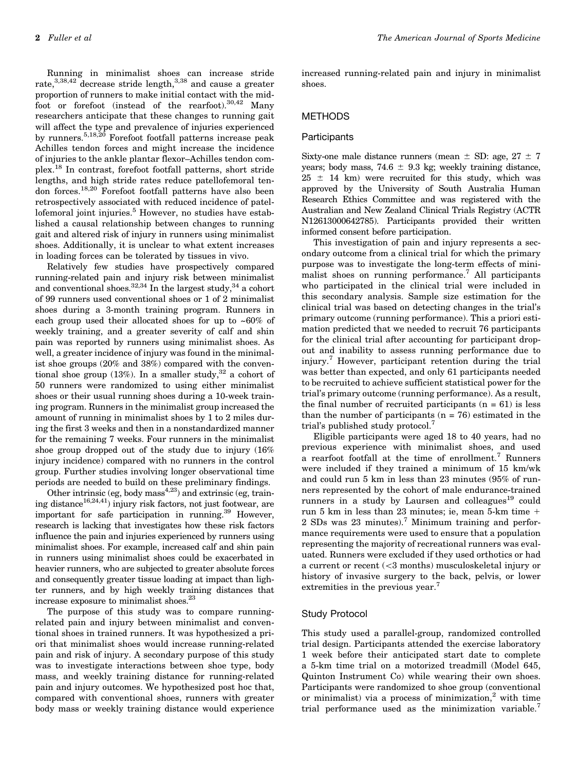Running in minimalist shoes can increase stride rate,<sup>3,38,42</sup> decrease stride length,<sup>3,38</sup> and cause a greater proportion of runners to make initial contact with the midfoot or forefoot (instead of the rearfoot).  $30,42$  Many researchers anticipate that these changes to running gait will affect the type and prevalence of injuries experienced by runners.5,18,20 Forefoot footfall patterns increase peak Achilles tendon forces and might increase the incidence of injuries to the ankle plantar flexor–Achilles tendon complex.<sup>18</sup> In contrast, forefoot footfall patterns, short stride lengths, and high stride rates reduce patellofemoral tendon forces.18,20 Forefoot footfall patterns have also been retrospectively associated with reduced incidence of patellofemoral joint injuries.<sup>5</sup> However, no studies have established a causal relationship between changes to running gait and altered risk of injury in runners using minimalist shoes. Additionally, it is unclear to what extent increases in loading forces can be tolerated by tissues in vivo.

Relatively few studies have prospectively compared running-related pain and injury risk between minimalist and conventional shoes. $32,34$  In the largest study, $34$  a cohort of 99 runners used conventional shoes or 1 of 2 minimalist shoes during a 3-month training program. Runners in each group used their allocated shoes for up to  $~50\%$  of weekly training, and a greater severity of calf and shin pain was reported by runners using minimalist shoes. As well, a greater incidence of injury was found in the minimalist shoe groups (20% and 38%) compared with the conventional shoe group (13%). In a smaller study,  $32$  a cohort of 50 runners were randomized to using either minimalist shoes or their usual running shoes during a 10-week training program. Runners in the minimalist group increased the amount of running in minimalist shoes by 1 to 2 miles during the first 3 weeks and then in a nonstandardized manner for the remaining 7 weeks. Four runners in the minimalist shoe group dropped out of the study due to injury (16% injury incidence) compared with no runners in the control group. Further studies involving longer observational time periods are needed to build on these preliminary findings.

Other intrinsic (eg, body mass $4,23$ ) and extrinsic (eg, training distance<sup>16,24,41</sup>) injury risk factors, not just footwear, are important for safe participation in running.<sup>39</sup> However, research is lacking that investigates how these risk factors influence the pain and injuries experienced by runners using minimalist shoes. For example, increased calf and shin pain in runners using minimalist shoes could be exacerbated in heavier runners, who are subjected to greater absolute forces and consequently greater tissue loading at impact than lighter runners, and by high weekly training distances that increase exposure to minimalist shoes.23

The purpose of this study was to compare runningrelated pain and injury between minimalist and conventional shoes in trained runners. It was hypothesized a priori that minimalist shoes would increase running-related pain and risk of injury. A secondary purpose of this study was to investigate interactions between shoe type, body mass, and weekly training distance for running-related pain and injury outcomes. We hypothesized post hoc that, compared with conventional shoes, runners with greater body mass or weekly training distance would experience increased running-related pain and injury in minimalist shoes.

# **METHODS**

# **Participants**

Sixty-one male distance runners (mean  $\pm$  SD: age, 27  $\pm$  7 years; body mass, 74.6  $\pm$  9.3 kg; weekly training distance,  $25 \pm 14$  km) were recruited for this study, which was approved by the University of South Australia Human Research Ethics Committee and was registered with the Australian and New Zealand Clinical Trials Registry (ACTR N12613000642785). Participants provided their written informed consent before participation.

This investigation of pain and injury represents a secondary outcome from a clinical trial for which the primary purpose was to investigate the long-term effects of minimalist shoes on running performance.<sup>7</sup> All participants who participated in the clinical trial were included in this secondary analysis. Sample size estimation for the clinical trial was based on detecting changes in the trial's primary outcome (running performance). This a priori estimation predicted that we needed to recruit 76 participants for the clinical trial after accounting for participant dropout and inability to assess running performance due to injury.<sup>7</sup> However, participant retention during the trial was better than expected, and only 61 participants needed to be recruited to achieve sufficient statistical power for the trial's primary outcome (running performance). As a result, the final number of recruited participants  $(n = 61)$  is less than the number of participants  $(n = 76)$  estimated in the trial's published study protocol.<sup>7</sup>

Eligible participants were aged 18 to 40 years, had no previous experience with minimalist shoes, and used a rearfoot footfall at the time of enrollment.<sup>7</sup> Runners were included if they trained a minimum of 15 km/wk and could run 5 km in less than 23 minutes (95% of runners represented by the cohort of male endurance-trained runners in a study by Laursen and colleagues $19$  could run 5 km in less than 23 minutes; ie, mean 5-km time 1 2 SDs was 23 minutes).<sup>7</sup> Minimum training and performance requirements were used to ensure that a population representing the majority of recreational runners was evaluated. Runners were excluded if they used orthotics or had a current or recent (<3 months) musculoskeletal injury or history of invasive surgery to the back, pelvis, or lower extremities in the previous year.<sup>7</sup>

# Study Protocol

This study used a parallel-group, randomized controlled trial design. Participants attended the exercise laboratory 1 week before their anticipated start date to complete a 5-km time trial on a motorized treadmill (Model 645, Quinton Instrument Co) while wearing their own shoes. Participants were randomized to shoe group (conventional or minimalist) via a process of minimization, $^2$  with time trial performance used as the minimization variable.<sup>7</sup>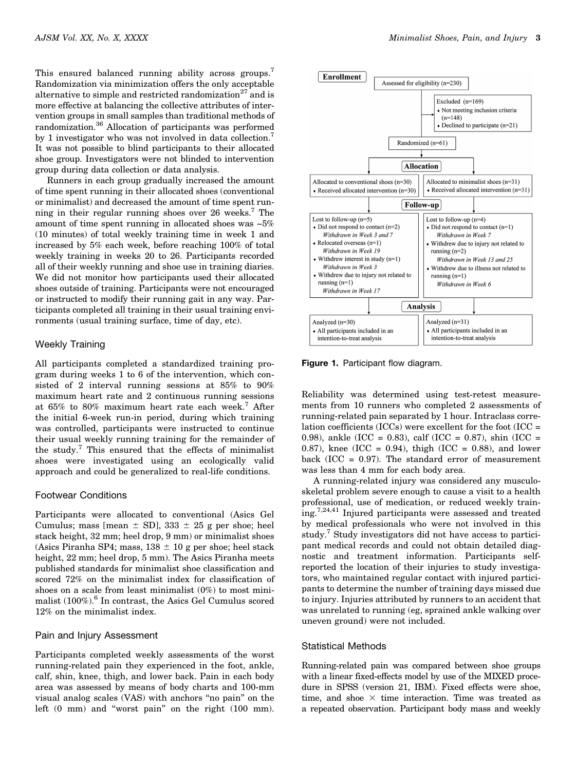This ensured balanced running ability across groups.<sup>7</sup> Randomization via minimization offers the only acceptable alternative to simple and restricted randomization<sup>27</sup> and is more effective at balancing the collective attributes of intervention groups in small samples than traditional methods of randomization.36 Allocation of participants was performed by 1 investigator who was not involved in data collection.<sup>7</sup> It was not possible to blind participants to their allocated shoe group. Investigators were not blinded to intervention group during data collection or data analysis.

Runners in each group gradually increased the amount of time spent running in their allocated shoes (conventional or minimalist) and decreased the amount of time spent running in their regular running shoes over 26 weeks.7 The amount of time spent running in allocated shoes was ~5% (10 minutes) of total weekly training time in week 1 and increased by 5% each week, before reaching 100% of total weekly training in weeks 20 to 26. Participants recorded all of their weekly running and shoe use in training diaries. We did not monitor how participants used their allocated shoes outside of training. Participants were not encouraged or instructed to modify their running gait in any way. Participants completed all training in their usual training environments (usual training surface, time of day, etc).

## Weekly Training

All participants completed a standardized training program during weeks 1 to 6 of the intervention, which consisted of 2 interval running sessions at 85% to 90% maximum heart rate and 2 continuous running sessions at 65% to 80% maximum heart rate each week.<sup>7</sup> After the initial 6-week run-in period, during which training was controlled, participants were instructed to continue their usual weekly running training for the remainder of the study.<sup>7</sup> This ensured that the effects of minimalist shoes were investigated using an ecologically valid approach and could be generalized to real-life conditions.

# Footwear Conditions

Participants were allocated to conventional (Asics Gel Cumulus; mass [mean  $\pm$  SD], 333  $\pm$  25 g per shoe; heel stack height, 32 mm; heel drop, 9 mm) or minimalist shoes (Asics Piranha SP4; mass,  $138 \pm 10$  g per shoe; heel stack height, 22 mm; heel drop, 5 mm). The Asics Piranha meets published standards for minimalist shoe classification and scored 72% on the minimalist index for classification of shoes on a scale from least minimalist (0%) to most minimalist  $(100\%)$ .<sup>6</sup> In contrast, the Asics Gel Cumulus scored 12% on the minimalist index.

# Pain and Injury Assessment

Participants completed weekly assessments of the worst running-related pain they experienced in the foot, ankle, calf, shin, knee, thigh, and lower back. Pain in each body area was assessed by means of body charts and 100-mm visual analog scales (VAS) with anchors ''no pain'' on the left (0 mm) and ''worst pain'' on the right (100 mm).



Figure 1. Participant flow diagram.

Reliability was determined using test-retest measurements from 10 runners who completed 2 assessments of running-related pain separated by 1 hour. Intraclass correlation coefficients (ICCs) were excellent for the foot (ICC = 0.98), ankle (ICC = 0.83), calf (ICC = 0.87), shin (ICC = 0.87), knee (ICC = 0.94), thigh (ICC = 0.88), and lower back  $(ICC = 0.97)$ . The standard error of measurement was less than 4 mm for each body area.

A running-related injury was considered any musculoskeletal problem severe enough to cause a visit to a health professional, use of medication, or reduced weekly training.7,24,41 Injured participants were assessed and treated by medical professionals who were not involved in this study.<sup>7</sup> Study investigators did not have access to participant medical records and could not obtain detailed diagnostic and treatment information. Participants selfreported the location of their injuries to study investigators, who maintained regular contact with injured participants to determine the number of training days missed due to injury. Injuries attributed by runners to an accident that was unrelated to running (eg, sprained ankle walking over uneven ground) were not included.

## Statistical Methods

Running-related pain was compared between shoe groups with a linear fixed-effects model by use of the MIXED procedure in SPSS (version 21, IBM). Fixed effects were shoe, time, and shoe  $\times$  time interaction. Time was treated as a repeated observation. Participant body mass and weekly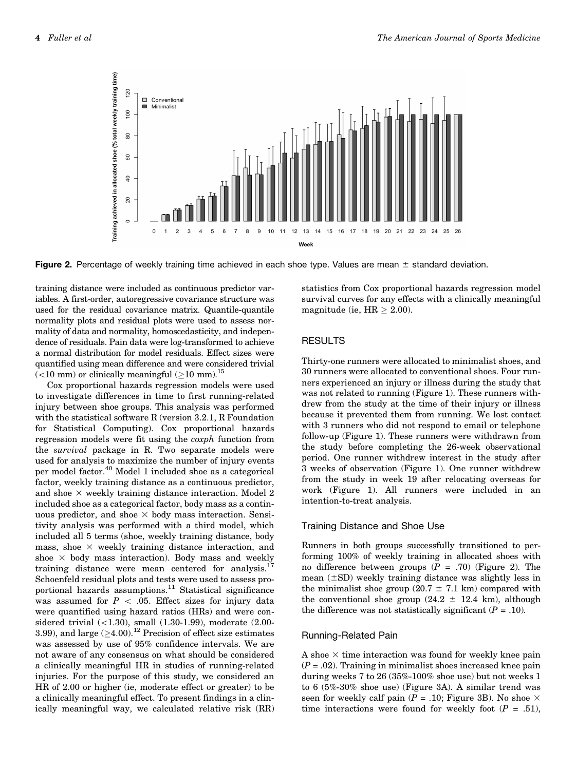

Figure 2. Percentage of weekly training time achieved in each shoe type. Values are mean  $\pm$  standard deviation.

training distance were included as continuous predictor variables. A first-order, autoregressive covariance structure was used for the residual covariance matrix. Quantile-quantile normality plots and residual plots were used to assess normality of data and normality, homoscedasticity, and independence of residuals. Pain data were log-transformed to achieve a normal distribution for model residuals. Effect sizes were quantified using mean difference and were considered trivial  $(<$ 10 mm) or clinically meaningful ( $\geq$ 10 mm).<sup>15</sup>

Cox proportional hazards regression models were used to investigate differences in time to first running-related injury between shoe groups. This analysis was performed with the statistical software R (version 3.2.1, R Foundation for Statistical Computing). Cox proportional hazards regression models were fit using the coxph function from the survival package in R. Two separate models were used for analysis to maximize the number of injury events per model factor.<sup>40</sup> Model 1 included shoe as a categorical factor, weekly training distance as a continuous predictor, and shoe  $\times$  weekly training distance interaction. Model 2 included shoe as a categorical factor, body mass as a continuous predictor, and shoe  $\times$  body mass interaction. Sensitivity analysis was performed with a third model, which included all 5 terms (shoe, weekly training distance, body mass, shoe  $\times$  weekly training distance interaction, and shoe  $\times$  body mass interaction). Body mass and weekly training distance were mean centered for analysis.<sup>17</sup> Schoenfeld residual plots and tests were used to assess proportional hazards assumptions. $11$  Statistical significance was assumed for  $P \, < \, .05$ . Effect sizes for injury data were quantified using hazard ratios (HRs) and were considered trivial (<1.30), small (1.30-1.99), moderate (2.00-3.99), and large  $(≥4.00).$ <sup>12</sup> Precision of effect size estimates was assessed by use of 95% confidence intervals. We are not aware of any consensus on what should be considered a clinically meaningful HR in studies of running-related injuries. For the purpose of this study, we considered an HR of 2.00 or higher (ie, moderate effect or greater) to be a clinically meaningful effect. To present findings in a clinically meaningful way, we calculated relative risk (RR)

statistics from Cox proportional hazards regression model survival curves for any effects with a clinically meaningful magnitude (ie,  $HR \geq 2.00$ ).

### RESULTS

Thirty-one runners were allocated to minimalist shoes, and 30 runners were allocated to conventional shoes. Four runners experienced an injury or illness during the study that was not related to running (Figure 1). These runners withdrew from the study at the time of their injury or illness because it prevented them from running. We lost contact with 3 runners who did not respond to email or telephone follow-up (Figure 1). These runners were withdrawn from the study before completing the 26-week observational period. One runner withdrew interest in the study after 3 weeks of observation (Figure 1). One runner withdrew from the study in week 19 after relocating overseas for work (Figure 1). All runners were included in an intention-to-treat analysis.

# Training Distance and Shoe Use

Runners in both groups successfully transitioned to performing 100% of weekly training in allocated shoes with no difference between groups  $(P = .70)$  (Figure 2). The mean  $(\pm SD)$  weekly training distance was slightly less in the minimalist shoe group (20.7  $\pm$  7.1 km) compared with the conventional shoe group  $(24.2 \pm 12.4 \text{ km})$ , although the difference was not statistically significant  $(P = .10)$ .

#### Running-Related Pain

A shoe  $\times$  time interaction was found for weekly knee pain  $(P = .02)$ . Training in minimalist shoes increased knee pain during weeks 7 to 26 (35%-100% shoe use) but not weeks 1 to 6 (5%-30% shoe use) (Figure 3A). A similar trend was seen for weekly calf pain ( $P = .10$ ; Figure 3B). No shoe  $\times$ time interactions were found for weekly foot  $(P = .51)$ ,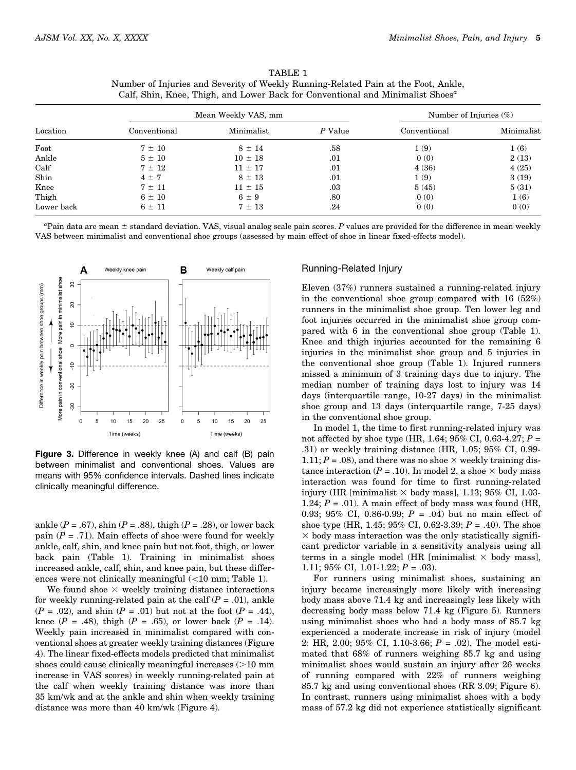| Location   | Mean Weekly VAS, mm |             |         | Number of Injuries $(\%)$ |            |
|------------|---------------------|-------------|---------|---------------------------|------------|
|            | Conventional        | Minimalist  | P Value | Conventional              | Minimalist |
| Foot       | $7 \pm 10$          | $8 \pm 14$  | .58     | 1(9)                      | 1(6)       |
| Ankle      | $5 \pm 10$          | $10 \pm 18$ | .01     | 0(0)                      | 2(13)      |
| Calf       | $7 \pm 12$          | $11 \pm 17$ | .01     | 4(36)                     | 4(25)      |
| Shin       | $4 \pm 7$           | $8 \pm 13$  | .01     | 1(9)                      | 3(19)      |
| Knee       | $7 \pm 11$          | $11 \pm 15$ | $.03\,$ | 5(45)                     | 5(31)      |
| Thigh      | $6 \pm 10$          | $6 \pm 9$   | .80     | 0(0)                      | 1(6)       |
| Lower back | $6 \pm 11$          | $7 \pm 13$  | .24     | 0(0)                      | 0(0)       |

| TABLE 1                                                                                    |
|--------------------------------------------------------------------------------------------|
| Number of Injuries and Severity of Weekly Running-Related Pain at the Foot, Ankle,         |
| Calf. Shin, Knee, Thigh, and Lower Back for Conventional and Minimalist Shoes <sup>"</sup> |

 ${}^a$ Pain data are mean  $\pm$  standard deviation. VAS, visual analog scale pain scores.  $P$  values are provided for the difference in mean weekly VAS between minimalist and conventional shoe groups (assessed by main effect of shoe in linear fixed-effects model).



Figure 3. Difference in weekly knee (A) and calf (B) pain between minimalist and conventional shoes. Values are means with 95% confidence intervals. Dashed lines indicate clinically meaningful difference.

ankle ( $P = .67$ ), shin ( $P = .88$ ), thigh ( $P = .28$ ), or lower back pain  $(P = .71)$ . Main effects of shoe were found for weekly ankle, calf, shin, and knee pain but not foot, thigh, or lower back pain (Table 1). Training in minimalist shoes increased ankle, calf, shin, and knee pain, but these differences were not clinically meaningful  $(<10$  mm; Table 1).

We found shoe  $\times$  weekly training distance interactions for weekly running-related pain at the calf  $(P = .01)$ , ankle  $(P = .02)$ , and shin  $(P = .01)$  but not at the foot  $(P = .44)$ , knee ( $P = .48$ ), thigh ( $P = .65$ ), or lower back ( $P = .14$ ). Weekly pain increased in minimalist compared with conventional shoes at greater weekly training distances (Figure 4). The linear fixed-effects models predicted that minimalist shoes could cause clinically meaningful increases  $(>10 \text{ mm})$ increase in VAS scores) in weekly running-related pain at the calf when weekly training distance was more than 35 km/wk and at the ankle and shin when weekly training distance was more than 40 km/wk (Figure 4).

#### Running-Related Injury

Eleven (37%) runners sustained a running-related injury in the conventional shoe group compared with 16 (52%) runners in the minimalist shoe group. Ten lower leg and foot injuries occurred in the minimalist shoe group compared with 6 in the conventional shoe group (Table 1). Knee and thigh injuries accounted for the remaining 6 injuries in the minimalist shoe group and 5 injuries in the conventional shoe group (Table 1). Injured runners missed a minimum of 3 training days due to injury. The median number of training days lost to injury was 14 days (interquartile range, 10-27 days) in the minimalist shoe group and 13 days (interquartile range, 7-25 days) in the conventional shoe group.

In model 1, the time to first running-related injury was not affected by shoe type (HR, 1.64;  $95\%$  CI, 0.63-4.27;  $P =$ .31) or weekly training distance (HR, 1.05; 95% CI, 0.99- 1.11;  $P = .08$ ), and there was no shoe  $\times$  weekly training distance interaction ( $P = .10$ ). In model 2, a shoe  $\times$  body mass interaction was found for time to first running-related injury (HR [minimalist  $\times$  body mass], 1.13; 95% CI, 1.03-1.24;  $P = .01$ ). A main effect of body mass was found (HR, 0.93; 95% CI, 0.86-0.99;  $P = .04$ ) but no main effect of shoe type (HR, 1.45; 95% CI, 0.62-3.39;  $P = .40$ ). The shoe  $\times$  body mass interaction was the only statistically significant predictor variable in a sensitivity analysis using all terms in a single model (HR [minimalist  $\times$  body mass], 1.11;  $95\%$  CI, 1.01-1.22;  $P = .03$ ).

For runners using minimalist shoes, sustaining an injury became increasingly more likely with increasing body mass above 71.4 kg and increasingly less likely with decreasing body mass below 71.4 kg (Figure 5). Runners using minimalist shoes who had a body mass of 85.7 kg experienced a moderate increase in risk of injury (model 2: HR, 2.00; 95% CI, 1.10-3.66;  $P = .02$ ). The model estimated that 68% of runners weighing 85.7 kg and using minimalist shoes would sustain an injury after 26 weeks of running compared with 22% of runners weighing 85.7 kg and using conventional shoes (RR 3.09; Figure 6). In contrast, runners using minimalist shoes with a body mass of 57.2 kg did not experience statistically significant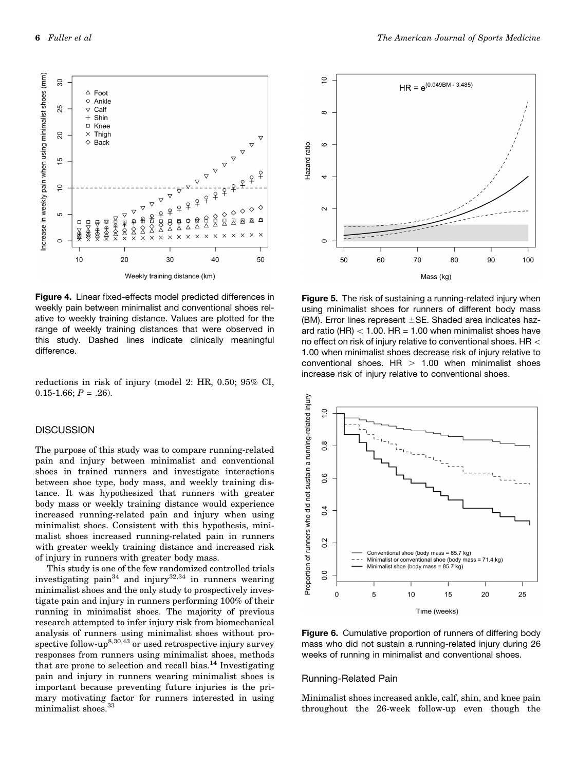Increase in weekly pain when using minimalist shoes (mm)  $\overline{30}$  $\triangle$ Enot o Ankle 25  $\nabla$  Calf  $+$  Shin □ Knee  $\times$ Thigh 20  $\Diamond$  Rack  $\overline{5}$  $\subseteq$ ♦  $\overline{z}$  $\Diamond$ ശ 9<br>内<br>2 ×及古人  $\frac{6}{8}$ W DOG 金<br>≪<br>※ **XIXAHOO**  $\boxtimes$  $\sim$ ⇔क्क्ष  $\mathbb{R} \otimes \mathbb{X}$ 只 囜  $\mathsf{r}$  $\frac{8}{2}$ Ø 2002 **DDA88** ž  $\triangle$ ▓  $\mathbf{x}$  $\times$  $\mathbf{v}$  $\epsilon$  $10$ 20 30 40 50

Figure 4. Linear fixed-effects model predicted differences in weekly pain between minimalist and conventional shoes relative to weekly training distance. Values are plotted for the range of weekly training distances that were observed in this study. Dashed lines indicate clinically meaningful difference.

reductions in risk of injury (model 2: HR, 0.50; 95% CI,  $0.15-1.66; P = .26$ .

# **DISCUSSION**

The purpose of this study was to compare running-related pain and injury between minimalist and conventional shoes in trained runners and investigate interactions between shoe type, body mass, and weekly training distance. It was hypothesized that runners with greater body mass or weekly training distance would experience increased running-related pain and injury when using minimalist shoes. Consistent with this hypothesis, minimalist shoes increased running-related pain in runners with greater weekly training distance and increased risk of injury in runners with greater body mass.

This study is one of the few randomized controlled trials investigating pain<sup>34</sup> and injury<sup>32,34</sup> in runners wearing minimalist shoes and the only study to prospectively investigate pain and injury in runners performing 100% of their running in minimalist shoes. The majority of previous research attempted to infer injury risk from biomechanical analysis of runners using minimalist shoes without prospective follow-up<sup>8,30,43</sup> or used retrospective injury survey responses from runners using minimalist shoes, methods that are prone to selection and recall bias.<sup>14</sup> Investigating pain and injury in runners wearing minimalist shoes is important because preventing future injuries is the primary motivating factor for runners interested in using minimalist shoes.<sup>33</sup>

Figure 5. The risk of sustaining a running-related injury when using minimalist shoes for runners of different body mass (BM). Error lines represent  $\pm$ SE. Shaded area indicates hazard ratio (HR)  $<$  1.00. HR = 1.00 when minimalist shoes have no effect on risk of injury relative to conventional shoes. HR  $<$ 1.00 when minimalist shoes decrease risk of injury relative to



#### Running-Related Pain

Minimalist shoes increased ankle, calf, shin, and knee pain throughout the 26-week follow-up even though the





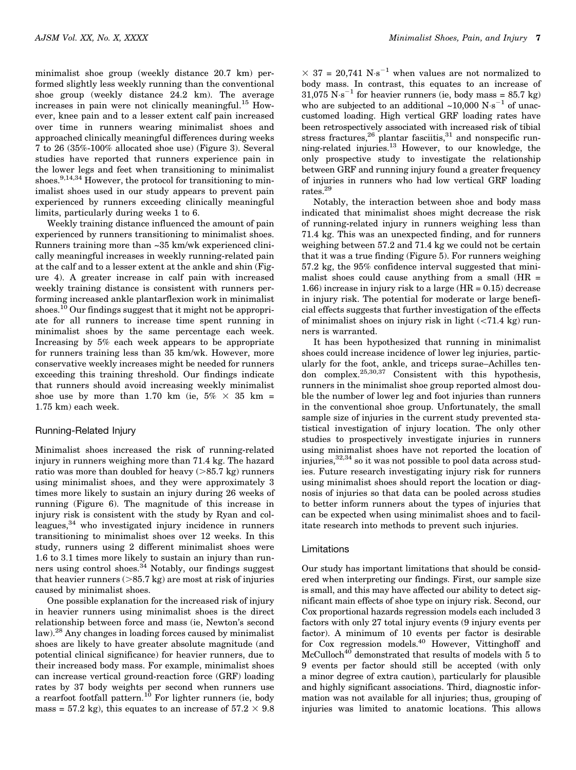minimalist shoe group (weekly distance 20.7 km) performed slightly less weekly running than the conventional shoe group (weekly distance 24.2 km). The average increases in pain were not clinically meaningful.<sup>15</sup> However, knee pain and to a lesser extent calf pain increased over time in runners wearing minimalist shoes and approached clinically meaningful differences during weeks 7 to 26 (35%-100% allocated shoe use) (Figure 3). Several studies have reported that runners experience pain in the lower legs and feet when transitioning to minimalist shoes.<sup>9,14,34</sup> However, the protocol for transitioning to minimalist shoes used in our study appears to prevent pain experienced by runners exceeding clinically meaningful limits, particularly during weeks 1 to 6.

Weekly training distance influenced the amount of pain experienced by runners transitioning to minimalist shoes. Runners training more than ~35 km/wk experienced clinically meaningful increases in weekly running-related pain at the calf and to a lesser extent at the ankle and shin (Figure 4). A greater increase in calf pain with increased weekly training distance is consistent with runners performing increased ankle plantarflexion work in minimalist shoes.<sup>10</sup> Our findings suggest that it might not be appropriate for all runners to increase time spent running in minimalist shoes by the same percentage each week. Increasing by 5% each week appears to be appropriate for runners training less than 35 km/wk. However, more conservative weekly increases might be needed for runners exceeding this training threshold. Our findings indicate that runners should avoid increasing weekly minimalist shoe use by more than 1.70 km (ie,  $5\% \times 35$  km = 1.75 km) each week.

# Running-Related Injury

Minimalist shoes increased the risk of running-related injury in runners weighing more than 71.4 kg. The hazard ratio was more than doubled for heavy  $(>85.7 \text{ kg})$  runners using minimalist shoes, and they were approximately 3 times more likely to sustain an injury during 26 weeks of running (Figure 6). The magnitude of this increase in injury risk is consistent with the study by Ryan and colleagues,34 who investigated injury incidence in runners transitioning to minimalist shoes over 12 weeks. In this study, runners using 2 different minimalist shoes were 1.6 to 3.1 times more likely to sustain an injury than runners using control shoes. $34$  Notably, our findings suggest that heavier runners  $(>\!\!85.7\,\mathrm{kg})$  are most at risk of injuries caused by minimalist shoes.

One possible explanation for the increased risk of injury in heavier runners using minimalist shoes is the direct relationship between force and mass (ie, Newton's second law).28 Any changes in loading forces caused by minimalist shoes are likely to have greater absolute magnitude (and potential clinical significance) for heavier runners, due to their increased body mass. For example, minimalist shoes can increase vertical ground-reaction force (GRF) loading rates by 37 body weights per second when runners use a rearfoot footfall pattern.<sup>10</sup> For lighter runners (ie, body mass = 57.2 kg), this equates to an increase of  $57.2 \times 9.8$ 

 $\times$  37 = 20,741 N·s<sup>-1</sup> when values are not normalized to body mass. In contrast, this equates to an increase of  $31,075$  N·s<sup>-1</sup> for heavier runners (ie, body mass = 85.7 kg) who are subjected to an additional  $\sim 10,000$  N·s<sup>-1</sup> of unaccustomed loading. High vertical GRF loading rates have been retrospectively associated with increased risk of tibial stress fractures,  $26$  plantar fasciitis,  $31$  and nonspecific running-related injuries.13 However, to our knowledge, the only prospective study to investigate the relationship between GRF and running injury found a greater frequency of injuries in runners who had low vertical GRF loading rates.29

Notably, the interaction between shoe and body mass indicated that minimalist shoes might decrease the risk of running-related injury in runners weighing less than 71.4 kg. This was an unexpected finding, and for runners weighing between 57.2 and 71.4 kg we could not be certain that it was a true finding (Figure 5). For runners weighing 57.2 kg, the 95% confidence interval suggested that minimalist shoes could cause anything from a small  $(HR =$ 1.66) increase in injury risk to a large (HR = 0.15) decrease in injury risk. The potential for moderate or large beneficial effects suggests that further investigation of the effects of minimalist shoes on injury risk in light  $\left(\frac{71.4 \text{ kg}}{2}\right)$  runners is warranted.

It has been hypothesized that running in minimalist shoes could increase incidence of lower leg injuries, particularly for the foot, ankle, and triceps surae–Achilles tendon complex.  $^{25,30,37}$  Consistent with this hypothesis, runners in the minimalist shoe group reported almost double the number of lower leg and foot injuries than runners in the conventional shoe group. Unfortunately, the small sample size of injuries in the current study prevented statistical investigation of injury location. The only other studies to prospectively investigate injuries in runners using minimalist shoes have not reported the location of injuries,32,34 so it was not possible to pool data across studies. Future research investigating injury risk for runners using minimalist shoes should report the location or diagnosis of injuries so that data can be pooled across studies to better inform runners about the types of injuries that can be expected when using minimalist shoes and to facilitate research into methods to prevent such injuries.

#### Limitations

Our study has important limitations that should be considered when interpreting our findings. First, our sample size is small, and this may have affected our ability to detect significant main effects of shoe type on injury risk. Second, our Cox proportional hazards regression models each included 3 factors with only 27 total injury events (9 injury events per factor). A minimum of 10 events per factor is desirable for Cox regression models.<sup>40</sup> However, Vittinghoff and McCulloch<sup>40</sup> demonstrated that results of models with 5 to 9 events per factor should still be accepted (with only a minor degree of extra caution), particularly for plausible and highly significant associations. Third, diagnostic information was not available for all injuries; thus, grouping of injuries was limited to anatomic locations. This allows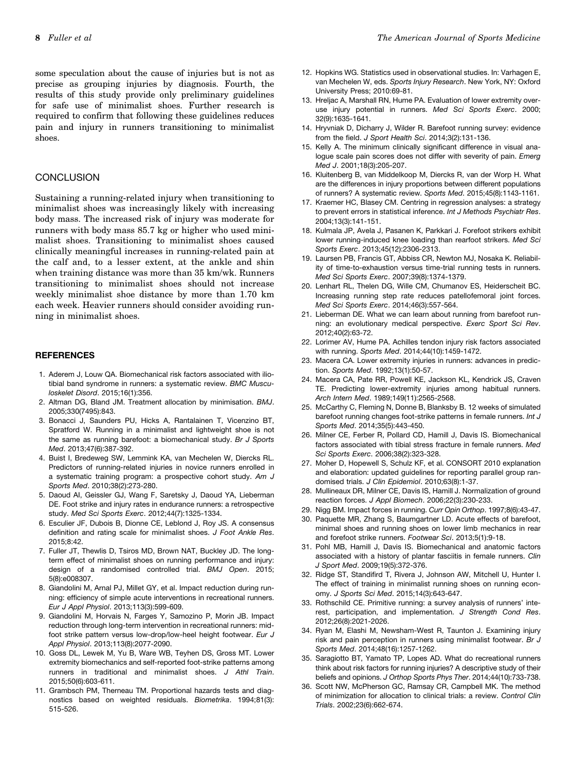some speculation about the cause of injuries but is not as precise as grouping injuries by diagnosis. Fourth, the results of this study provide only preliminary guidelines for safe use of minimalist shoes. Further research is required to confirm that following these guidelines reduces pain and injury in runners transitioning to minimalist shoes.

# **CONCLUSION**

Sustaining a running-related injury when transitioning to minimalist shoes was increasingly likely with increasing body mass. The increased risk of injury was moderate for runners with body mass 85.7 kg or higher who used minimalist shoes. Transitioning to minimalist shoes caused clinically meaningful increases in running-related pain at the calf and, to a lesser extent, at the ankle and shin when training distance was more than 35 km/wk. Runners transitioning to minimalist shoes should not increase weekly minimalist shoe distance by more than 1.70 km each week. Heavier runners should consider avoiding running in minimalist shoes.

#### **REFERENCES**

- 1. Aderem J, Louw QA. Biomechanical risk factors associated with iliotibial band syndrome in runners: a systematic review. *BMC Musculoskelet Disord*. 2015;16(1):356.
- 2. Altman DG, Bland JM. Treatment allocation by minimisation. *BMJ*. 2005;330(7495):843.
- 3. Bonacci J, Saunders PU, Hicks A, Rantalainen T, Vicenzino BT, Spratford W. Running in a minimalist and lightweight shoe is not the same as running barefoot: a biomechanical study. *Br J Sports Med*. 2013;47(6):387-392.
- 4. Buist I, Bredeweg SW, Lemmink KA, van Mechelen W, Diercks RL. Predictors of running-related injuries in novice runners enrolled in a systematic training program: a prospective cohort study. *Am J Sports Med*. 2010;38(2):273-280.
- 5. Daoud AI, Geissler GJ, Wang F, Saretsky J, Daoud YA, Lieberman DE. Foot strike and injury rates in endurance runners: a retrospective study. *Med Sci Sports Exerc*. 2012;44(7):1325-1334.
- 6. Esculier JF, Dubois B, Dionne CE, Leblond J, Roy JS. A consensus definition and rating scale for minimalist shoes. *J Foot Ankle Res*. 2015;8:42.
- 7. Fuller JT, Thewlis D, Tsiros MD, Brown NAT, Buckley JD. The longterm effect of minimalist shoes on running performance and injury: design of a randomised controlled trial. *BMJ Open*. 2015; 5(8):e008307.
- 8. Giandolini M, Arnal PJ, Millet GY, et al. Impact reduction during running: efficiency of simple acute interventions in recreational runners. *Eur J Appl Physiol*. 2013;113(3):599-609.
- 9. Giandolini M, Horvais N, Farges Y, Samozino P, Morin JB. Impact reduction through long-term intervention in recreational runners: midfoot strike pattern versus low-drop/low-heel height footwear. *Eur J Appl Physiol*. 2013;113(8):2077-2090.
- 10. Goss DL, Lewek M, Yu B, Ware WB, Teyhen DS, Gross MT. Lower extremity biomechanics and self-reported foot-strike patterns among runners in traditional and minimalist shoes. *J Athl Train*. 2015;50(6):603-611.
- 11. Grambsch PM, Therneau TM. Proportional hazards tests and diagnostics based on weighted residuals. *Biometrika*. 1994;81(3): 515-526.
- 12. Hopkins WG. Statistics used in observational studies. In: Varhagen E, van Mechelen W, eds. *Sports Injury Research*. New York, NY: Oxford University Press; 2010:69-81.
- 13. Hreljac A, Marshall RN, Hume PA. Evaluation of lower extremity overuse injury potential in runners. *Med Sci Sports Exerc*. 2000; 32(9):1635-1641.
- 14. Hryvniak D, Dicharry J, Wilder R. Barefoot running survey: evidence from the field. *J Sport Health Sci*. 2014;3(2):131-136.
- 15. Kelly A. The minimum clinically significant difference in visual analogue scale pain scores does not differ with severity of pain. *Emerg Med J*. 2001;18(3):205-207.
- 16. Kluitenberg B, van Middelkoop M, Diercks R, van der Worp H. What are the differences in injury proportions between different populations of runners? A systematic review. *Sports Med*. 2015;45(8):1143-1161.
- 17. Kraemer HC, Blasey CM. Centring in regression analyses: a strategy to prevent errors in statistical inference. *Int J Methods Psychiatr Res*. 2004;13(3):141-151.
- 18. Kulmala JP, Avela J, Pasanen K, Parkkari J. Forefoot strikers exhibit lower running-induced knee loading than rearfoot strikers. *Med Sci Sports Exerc*. 2013;45(12):2306-2313.
- 19. Laursen PB, Francis GT, Abbiss CR, Newton MJ, Nosaka K. Reliability of time-to-exhaustion versus time-trial running tests in runners. *Med Sci Sports Exerc*. 2007;39(8):1374-1379.
- 20. Lenhart RL, Thelen DG, Wille CM, Chumanov ES, Heiderscheit BC. Increasing running step rate reduces patellofemoral joint forces. *Med Sci Sports Exerc*. 2014;46(3):557-564.
- 21. Lieberman DE. What we can learn about running from barefoot running: an evolutionary medical perspective. *Exerc Sport Sci Rev*. 2012;40(2):63-72.
- 22. Lorimer AV, Hume PA. Achilles tendon injury risk factors associated with running. *Sports Med*. 2014;44(10):1459-1472.
- 23. Macera CA. Lower extremity injuries in runners: advances in prediction. *Sports Med*. 1992;13(1):50-57.
- 24. Macera CA, Pate RR, Powell KE, Jackson KL, Kendrick JS, Craven TE. Predicting lower-extremity injuries among habitual runners. *Arch Intern Med*. 1989;149(11):2565-2568.
- 25. McCarthy C, Fleming N, Donne B, Blanksby B. 12 weeks of simulated barefoot running changes foot-strike patterns in female runners. *Int J Sports Med*. 2014;35(5):443-450.
- 26. Milner CE, Ferber R, Pollard CD, Hamill J, Davis IS. Biomechanical factors associated with tibial stress fracture in female runners. *Med Sci Sports Exerc*. 2006;38(2):323-328.
- 27. Moher D, Hopewell S, Schulz KF, et al. CONSORT 2010 explanation and elaboration: updated guidelines for reporting parallel group randomised trials. *J Clin Epidemiol*. 2010;63(8):1-37.
- 28. Mullineaux DR, Milner CE, Davis IS, Hamill J. Normalization of ground reaction forces. *J Appl Biomech*. 2006;22(3):230-233.
- 29. Nigg BM. Impact forces in running. *Curr Opin Orthop*. 1997;8(6):43-47.
- 30. Paquette MR, Zhang S, Baumgartner LD. Acute effects of barefoot, minimal shoes and running shoes on lower limb mechanics in rear and forefoot strike runners. *Footwear Sci*. 2013;5(1):9-18.
- 31. Pohl MB, Hamill J, Davis IS. Biomechanical and anatomic factors associated with a history of plantar fasciitis in female runners. *Clin J Sport Med*. 2009;19(5):372-376.
- 32. Ridge ST, Standifird T, Rivera J, Johnson AW, Mitchell U, Hunter I. The effect of training in minimalist running shoes on running economy. *J Sports Sci Med*. 2015;14(3):643-647.
- 33. Rothschild CE. Primitive running: a survey analysis of runners' interest, participation, and implementation. *J Strength Cond Res*. 2012;26(8):2021-2026.
- 34. Ryan M, Elashi M, Newsham-West R, Taunton J. Examining injury risk and pain perception in runners using minimalist footwear. *Br J Sports Med*. 2014;48(16):1257-1262.
- 35. Saragiotto BT, Yamato TP, Lopes AD. What do recreational runners think about risk factors for running injuries? A descriptive study of their beliefs and opinions. *J Orthop Sports Phys Ther*. 2014;44(10):733-738.
- 36. Scott NW, McPherson GC, Ramsay CR, Campbell MK. The method of minimization for allocation to clinical trials: a review. *Control Clin Trials*. 2002;23(6):662-674.